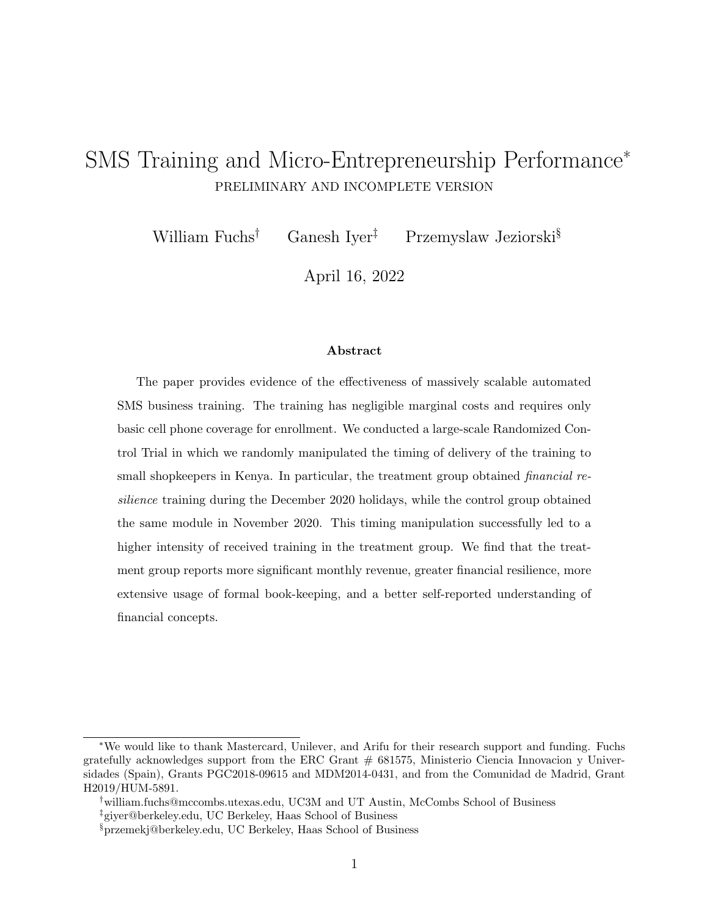## SMS Training and Micro-Entrepreneurship Performance<sup>∗</sup> PRELIMINARY AND INCOMPLETE VERSION

William Fuchs<sup>†</sup> Ganesh Iver<sup>‡</sup> Przemyslaw Jeziorski<sup>§</sup>

April 16, 2022

### Abstract

The paper provides evidence of the effectiveness of massively scalable automated SMS business training. The training has negligible marginal costs and requires only basic cell phone coverage for enrollment. We conducted a large-scale Randomized Control Trial in which we randomly manipulated the timing of delivery of the training to small shopkeepers in Kenya. In particular, the treatment group obtained *financial re*silience training during the December 2020 holidays, while the control group obtained the same module in November 2020. This timing manipulation successfully led to a higher intensity of received training in the treatment group. We find that the treatment group reports more significant monthly revenue, greater financial resilience, more extensive usage of formal book-keeping, and a better self-reported understanding of financial concepts.

<sup>∗</sup>We would like to thank Mastercard, Unilever, and Arifu for their research support and funding. Fuchs gratefully acknowledges support from the ERC Grant  $# 681575$ , Ministerio Ciencia Innovacion y Universidades (Spain), Grants PGC2018-09615 and MDM2014-0431, and from the Comunidad de Madrid, Grant H2019/HUM-5891.

<sup>†</sup>william.fuchs@mccombs.utexas.edu, UC3M and UT Austin, McCombs School of Business

<sup>‡</sup>giyer@berkeley.edu, UC Berkeley, Haas School of Business

<sup>§</sup>przemekj@berkeley.edu, UC Berkeley, Haas School of Business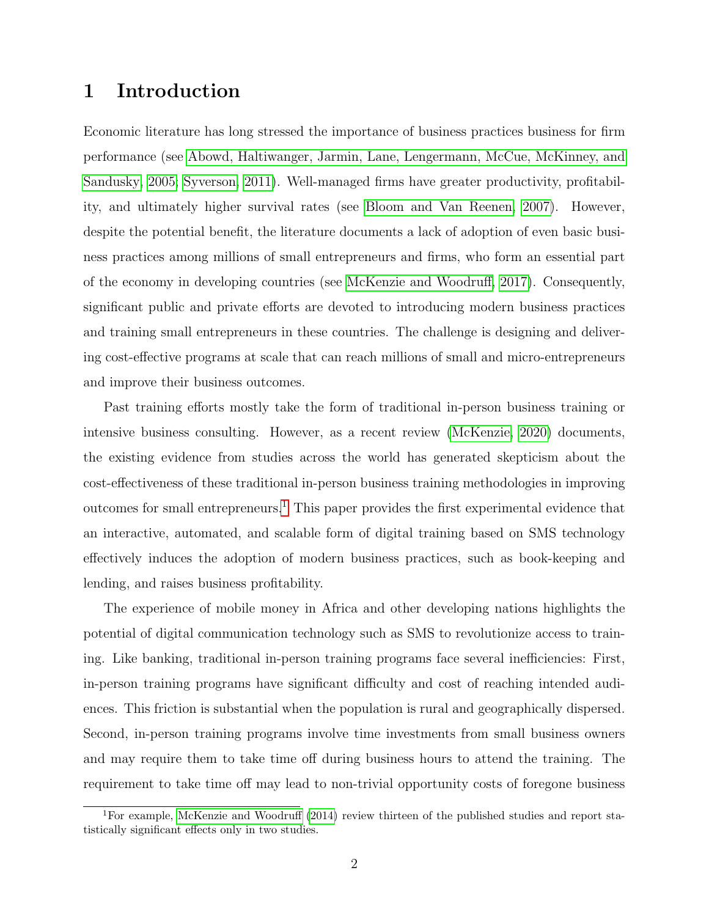## 1 Introduction

Economic literature has long stressed the importance of business practices business for firm performance (see [Abowd, Haltiwanger, Jarmin, Lane, Lengermann, McCue, McKinney, and](#page-13-0) [Sandusky, 2005;](#page-13-0) [Syverson, 2011\)](#page-14-0). Well-managed firms have greater productivity, profitability, and ultimately higher survival rates (see [Bloom and Van Reenen, 2007\)](#page-14-1). However, despite the potential benefit, the literature documents a lack of adoption of even basic business practices among millions of small entrepreneurs and firms, who form an essential part of the economy in developing countries (see [McKenzie and Woodruff, 2017\)](#page-14-2). Consequently, significant public and private efforts are devoted to introducing modern business practices and training small entrepreneurs in these countries. The challenge is designing and delivering cost-effective programs at scale that can reach millions of small and micro-entrepreneurs and improve their business outcomes.

Past training efforts mostly take the form of traditional in-person business training or intensive business consulting. However, as a recent review [\(McKenzie, 2020\)](#page-14-3) documents, the existing evidence from studies across the world has generated skepticism about the cost-effectiveness of these traditional in-person business training methodologies in improving outcomes for small entrepreneurs.<sup>[1](#page-1-0)</sup> This paper provides the first experimental evidence that an interactive, automated, and scalable form of digital training based on SMS technology effectively induces the adoption of modern business practices, such as book-keeping and lending, and raises business profitability.

The experience of mobile money in Africa and other developing nations highlights the potential of digital communication technology such as SMS to revolutionize access to training. Like banking, traditional in-person training programs face several inefficiencies: First, in-person training programs have significant difficulty and cost of reaching intended audiences. This friction is substantial when the population is rural and geographically dispersed. Second, in-person training programs involve time investments from small business owners and may require them to take time off during business hours to attend the training. The requirement to take time off may lead to non-trivial opportunity costs of foregone business

<span id="page-1-0"></span><sup>&</sup>lt;sup>1</sup>For example, [McKenzie and Woodruff](#page-14-4) [\(2014\)](#page-14-4) review thirteen of the published studies and report statistically significant effects only in two studies.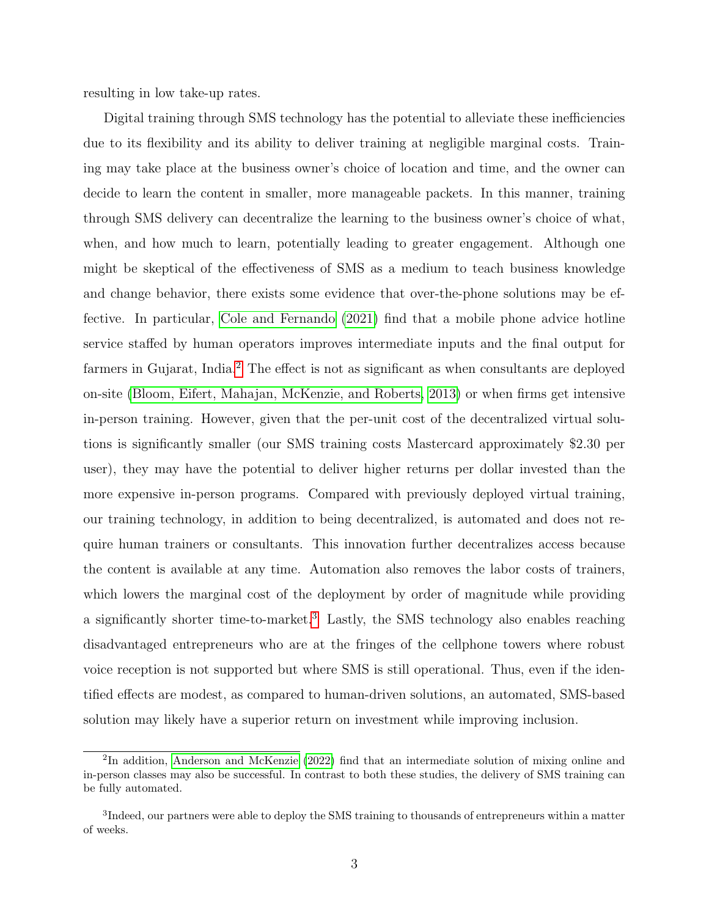resulting in low take-up rates.

Digital training through SMS technology has the potential to alleviate these inefficiencies due to its flexibility and its ability to deliver training at negligible marginal costs. Training may take place at the business owner's choice of location and time, and the owner can decide to learn the content in smaller, more manageable packets. In this manner, training through SMS delivery can decentralize the learning to the business owner's choice of what, when, and how much to learn, potentially leading to greater engagement. Although one might be skeptical of the effectiveness of SMS as a medium to teach business knowledge and change behavior, there exists some evidence that over-the-phone solutions may be effective. In particular, [Cole and Fernando](#page-14-5) [\(2021\)](#page-14-5) find that a mobile phone advice hotline service staffed by human operators improves intermediate inputs and the final output for farmers in Gujarat, India.<sup>[2](#page-2-0)</sup> The effect is not as significant as when consultants are deployed on-site [\(Bloom, Eifert, Mahajan, McKenzie, and Roberts, 2013\)](#page-14-6) or when firms get intensive in-person training. However, given that the per-unit cost of the decentralized virtual solutions is significantly smaller (our SMS training costs Mastercard approximately \$2.30 per user), they may have the potential to deliver higher returns per dollar invested than the more expensive in-person programs. Compared with previously deployed virtual training, our training technology, in addition to being decentralized, is automated and does not require human trainers or consultants. This innovation further decentralizes access because the content is available at any time. Automation also removes the labor costs of trainers, which lowers the marginal cost of the deployment by order of magnitude while providing a significantly shorter time-to-market.[3](#page-2-1) Lastly, the SMS technology also enables reaching disadvantaged entrepreneurs who are at the fringes of the cellphone towers where robust voice reception is not supported but where SMS is still operational. Thus, even if the identified effects are modest, as compared to human-driven solutions, an automated, SMS-based solution may likely have a superior return on investment while improving inclusion.

<span id="page-2-0"></span><sup>&</sup>lt;sup>2</sup>In addition, [Anderson and McKenzie](#page-13-1) [\(2022\)](#page-13-1) find that an intermediate solution of mixing online and in-person classes may also be successful. In contrast to both these studies, the delivery of SMS training can be fully automated.

<span id="page-2-1"></span> ${}^{3}$ Indeed, our partners were able to deploy the SMS training to thousands of entrepreneurs within a matter of weeks.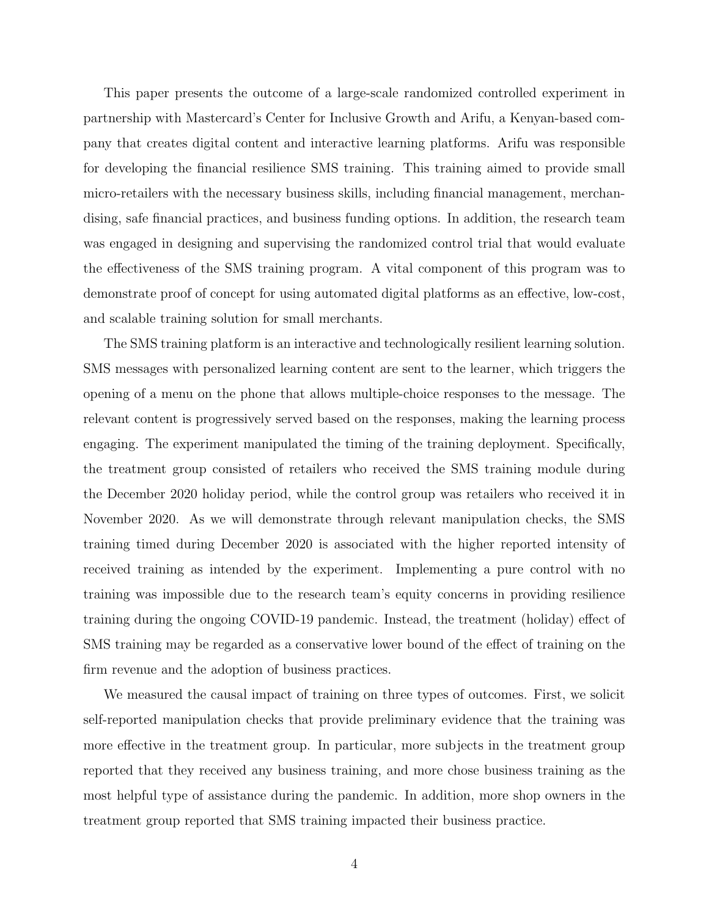This paper presents the outcome of a large-scale randomized controlled experiment in partnership with Mastercard's Center for Inclusive Growth and Arifu, a Kenyan-based company that creates digital content and interactive learning platforms. Arifu was responsible for developing the financial resilience SMS training. This training aimed to provide small micro-retailers with the necessary business skills, including financial management, merchandising, safe financial practices, and business funding options. In addition, the research team was engaged in designing and supervising the randomized control trial that would evaluate the effectiveness of the SMS training program. A vital component of this program was to demonstrate proof of concept for using automated digital platforms as an effective, low-cost, and scalable training solution for small merchants.

The SMS training platform is an interactive and technologically resilient learning solution. SMS messages with personalized learning content are sent to the learner, which triggers the opening of a menu on the phone that allows multiple-choice responses to the message. The relevant content is progressively served based on the responses, making the learning process engaging. The experiment manipulated the timing of the training deployment. Specifically, the treatment group consisted of retailers who received the SMS training module during the December 2020 holiday period, while the control group was retailers who received it in November 2020. As we will demonstrate through relevant manipulation checks, the SMS training timed during December 2020 is associated with the higher reported intensity of received training as intended by the experiment. Implementing a pure control with no training was impossible due to the research team's equity concerns in providing resilience training during the ongoing COVID-19 pandemic. Instead, the treatment (holiday) effect of SMS training may be regarded as a conservative lower bound of the effect of training on the firm revenue and the adoption of business practices.

We measured the causal impact of training on three types of outcomes. First, we solicit self-reported manipulation checks that provide preliminary evidence that the training was more effective in the treatment group. In particular, more subjects in the treatment group reported that they received any business training, and more chose business training as the most helpful type of assistance during the pandemic. In addition, more shop owners in the treatment group reported that SMS training impacted their business practice.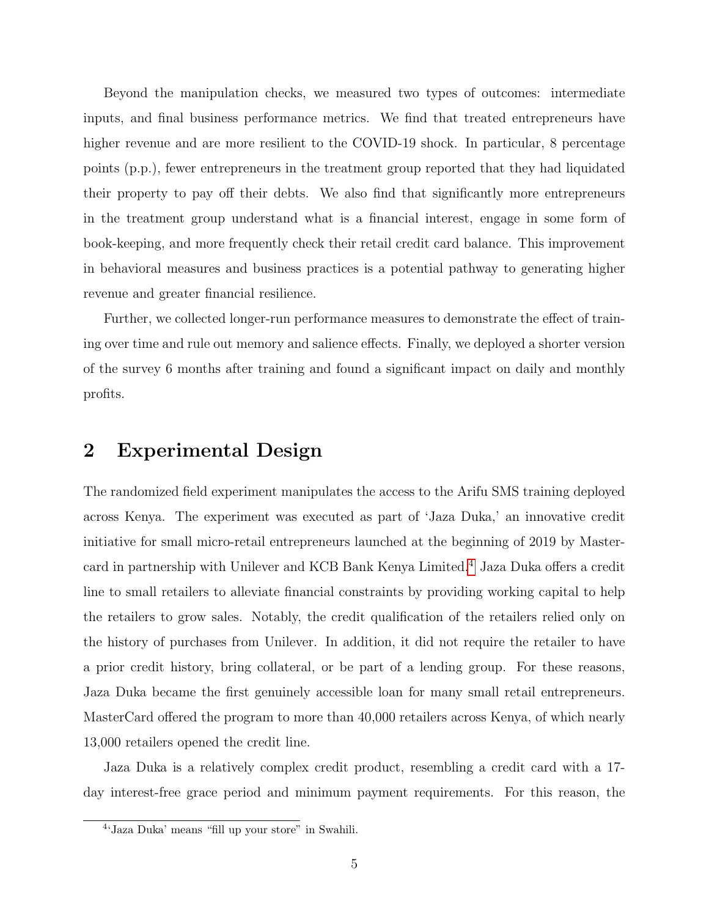Beyond the manipulation checks, we measured two types of outcomes: intermediate inputs, and final business performance metrics. We find that treated entrepreneurs have higher revenue and are more resilient to the COVID-19 shock. In particular, 8 percentage points (p.p.), fewer entrepreneurs in the treatment group reported that they had liquidated their property to pay off their debts. We also find that significantly more entrepreneurs in the treatment group understand what is a financial interest, engage in some form of book-keeping, and more frequently check their retail credit card balance. This improvement in behavioral measures and business practices is a potential pathway to generating higher revenue and greater financial resilience.

Further, we collected longer-run performance measures to demonstrate the effect of training over time and rule out memory and salience effects. Finally, we deployed a shorter version of the survey 6 months after training and found a significant impact on daily and monthly profits.

### 2 Experimental Design

The randomized field experiment manipulates the access to the Arifu SMS training deployed across Kenya. The experiment was executed as part of 'Jaza Duka,' an innovative credit initiative for small micro-retail entrepreneurs launched at the beginning of 2019 by Master-card in partnership with Unilever and KCB Bank Kenya Limited.<sup>[4](#page-4-0)</sup> Jaza Duka offers a credit line to small retailers to alleviate financial constraints by providing working capital to help the retailers to grow sales. Notably, the credit qualification of the retailers relied only on the history of purchases from Unilever. In addition, it did not require the retailer to have a prior credit history, bring collateral, or be part of a lending group. For these reasons, Jaza Duka became the first genuinely accessible loan for many small retail entrepreneurs. MasterCard offered the program to more than 40,000 retailers across Kenya, of which nearly 13,000 retailers opened the credit line.

Jaza Duka is a relatively complex credit product, resembling a credit card with a 17 day interest-free grace period and minimum payment requirements. For this reason, the

<span id="page-4-0"></span><sup>4</sup> 'Jaza Duka' means "fill up your store" in Swahili.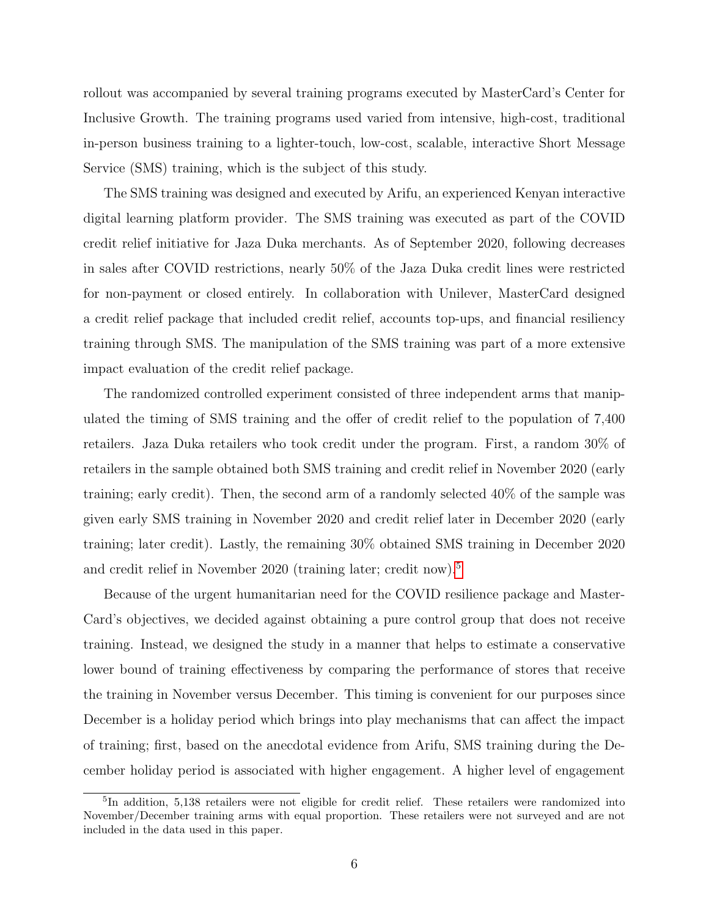rollout was accompanied by several training programs executed by MasterCard's Center for Inclusive Growth. The training programs used varied from intensive, high-cost, traditional in-person business training to a lighter-touch, low-cost, scalable, interactive Short Message Service (SMS) training, which is the subject of this study.

The SMS training was designed and executed by Arifu, an experienced Kenyan interactive digital learning platform provider. The SMS training was executed as part of the COVID credit relief initiative for Jaza Duka merchants. As of September 2020, following decreases in sales after COVID restrictions, nearly 50% of the Jaza Duka credit lines were restricted for non-payment or closed entirely. In collaboration with Unilever, MasterCard designed a credit relief package that included credit relief, accounts top-ups, and financial resiliency training through SMS. The manipulation of the SMS training was part of a more extensive impact evaluation of the credit relief package.

The randomized controlled experiment consisted of three independent arms that manipulated the timing of SMS training and the offer of credit relief to the population of 7,400 retailers. Jaza Duka retailers who took credit under the program. First, a random 30% of retailers in the sample obtained both SMS training and credit relief in November 2020 (early training; early credit). Then, the second arm of a randomly selected 40% of the sample was given early SMS training in November 2020 and credit relief later in December 2020 (early training; later credit). Lastly, the remaining 30% obtained SMS training in December 2020 and credit relief in November 2020 (training later; credit now).<sup>[5](#page-5-0)</sup>

Because of the urgent humanitarian need for the COVID resilience package and Master-Card's objectives, we decided against obtaining a pure control group that does not receive training. Instead, we designed the study in a manner that helps to estimate a conservative lower bound of training effectiveness by comparing the performance of stores that receive the training in November versus December. This timing is convenient for our purposes since December is a holiday period which brings into play mechanisms that can affect the impact of training; first, based on the anecdotal evidence from Arifu, SMS training during the December holiday period is associated with higher engagement. A higher level of engagement

<span id="page-5-0"></span><sup>5</sup> In addition, 5,138 retailers were not eligible for credit relief. These retailers were randomized into November/December training arms with equal proportion. These retailers were not surveyed and are not included in the data used in this paper.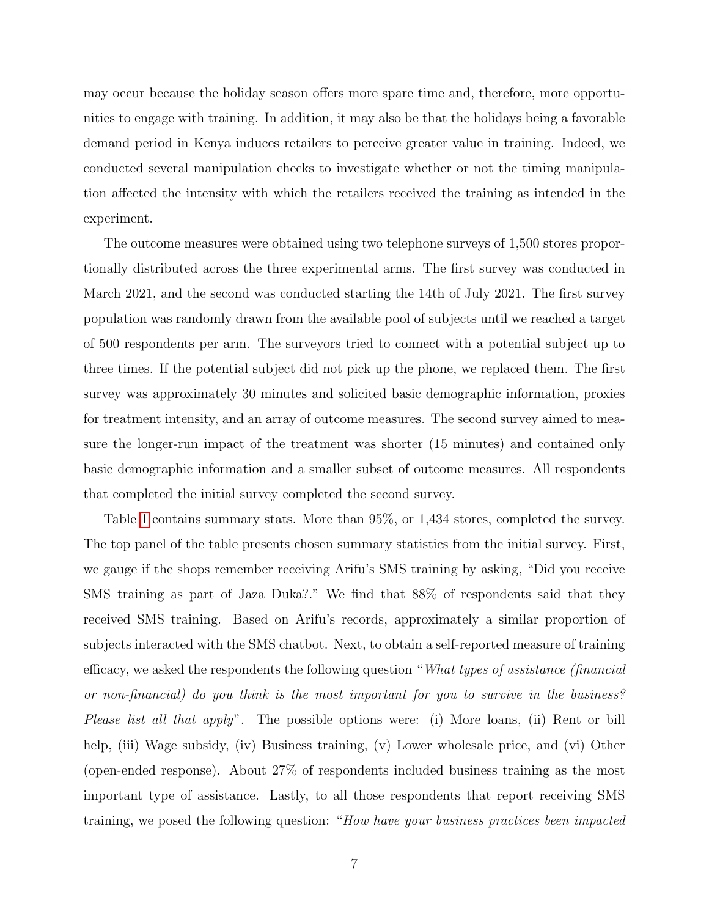may occur because the holiday season offers more spare time and, therefore, more opportunities to engage with training. In addition, it may also be that the holidays being a favorable demand period in Kenya induces retailers to perceive greater value in training. Indeed, we conducted several manipulation checks to investigate whether or not the timing manipulation affected the intensity with which the retailers received the training as intended in the experiment.

The outcome measures were obtained using two telephone surveys of 1,500 stores proportionally distributed across the three experimental arms. The first survey was conducted in March 2021, and the second was conducted starting the 14th of July 2021. The first survey population was randomly drawn from the available pool of subjects until we reached a target of 500 respondents per arm. The surveyors tried to connect with a potential subject up to three times. If the potential subject did not pick up the phone, we replaced them. The first survey was approximately 30 minutes and solicited basic demographic information, proxies for treatment intensity, and an array of outcome measures. The second survey aimed to measure the longer-run impact of the treatment was shorter (15 minutes) and contained only basic demographic information and a smaller subset of outcome measures. All respondents that completed the initial survey completed the second survey.

Table [1](#page-7-0) contains summary stats. More than 95%, or 1,434 stores, completed the survey. The top panel of the table presents chosen summary statistics from the initial survey. First, we gauge if the shops remember receiving Arifu's SMS training by asking, "Did you receive SMS training as part of Jaza Duka?." We find that 88% of respondents said that they received SMS training. Based on Arifu's records, approximately a similar proportion of subjects interacted with the SMS chatbot. Next, to obtain a self-reported measure of training efficacy, we asked the respondents the following question "What types of assistance (financial or non-financial) do you think is the most important for you to survive in the business? Please list all that apply". The possible options were: (i) More loans, (ii) Rent or bill help, (iii) Wage subsidy, (iv) Business training, (v) Lower wholesale price, and (vi) Other (open-ended response). About 27% of respondents included business training as the most important type of assistance. Lastly, to all those respondents that report receiving SMS training, we posed the following question: "How have your business practices been impacted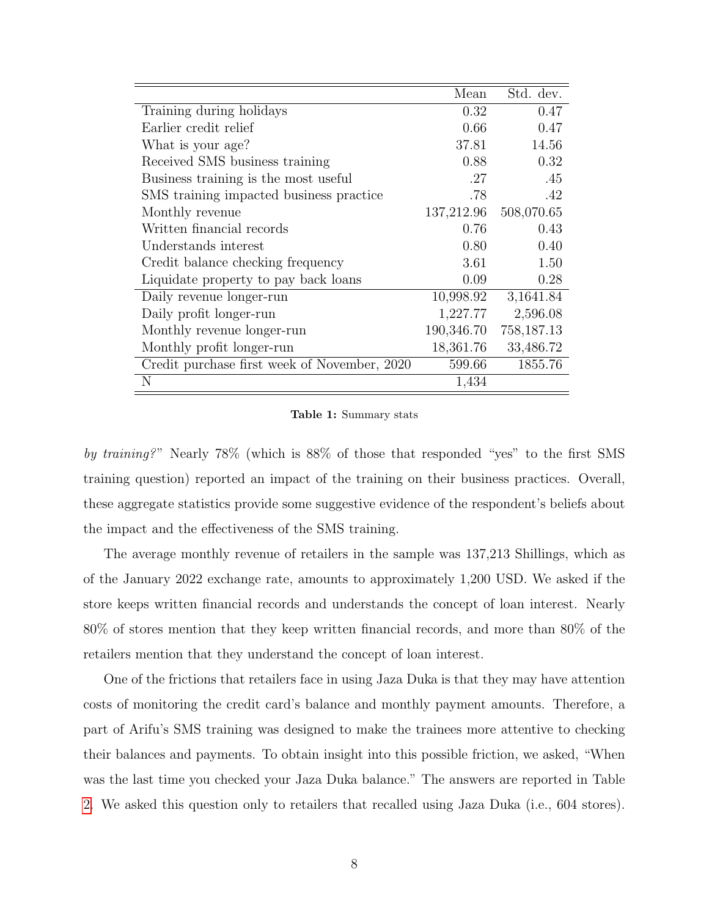|                                              | Mean       | Std. dev.  |
|----------------------------------------------|------------|------------|
| Training during holidays                     | 0.32       | 0.47       |
| Earlier credit relief                        | 0.66       | 0.47       |
| What is your age?                            | 37.81      | 14.56      |
| Received SMS business training               | 0.88       | 0.32       |
| Business training is the most useful.        | .27        | .45        |
| SMS training impacted business practice      | .78        | .42        |
| Monthly revenue                              | 137,212.96 | 508,070.65 |
| Written financial records                    | 0.76       | 0.43       |
| Understands interest                         | 0.80       | 0.40       |
| Credit balance checking frequency            | 3.61       | 1.50       |
| Liquidate property to pay back loans         | 0.09       | 0.28       |
| Daily revenue longer-run                     | 10,998.92  | 3,1641.84  |
| Daily profit longer-run                      | 1,227.77   | 2,596.08   |
| Monthly revenue longer-run                   | 190,346.70 | 758,187.13 |
| Monthly profit longer-run                    | 18,361.76  | 33,486.72  |
| Credit purchase first week of November, 2020 | 599.66     | 1855.76    |
| N                                            | 1,434      |            |

<span id="page-7-0"></span>Table 1: Summary stats

by training?" Nearly 78% (which is 88% of those that responded "yes" to the first SMS training question) reported an impact of the training on their business practices. Overall, these aggregate statistics provide some suggestive evidence of the respondent's beliefs about the impact and the effectiveness of the SMS training.

The average monthly revenue of retailers in the sample was 137,213 Shillings, which as of the January 2022 exchange rate, amounts to approximately 1,200 USD. We asked if the store keeps written financial records and understands the concept of loan interest. Nearly 80% of stores mention that they keep written financial records, and more than 80% of the retailers mention that they understand the concept of loan interest.

One of the frictions that retailers face in using Jaza Duka is that they may have attention costs of monitoring the credit card's balance and monthly payment amounts. Therefore, a part of Arifu's SMS training was designed to make the trainees more attentive to checking their balances and payments. To obtain insight into this possible friction, we asked, "When was the last time you checked your Jaza Duka balance." The answers are reported in Table [2.](#page-8-0) We asked this question only to retailers that recalled using Jaza Duka (i.e., 604 stores).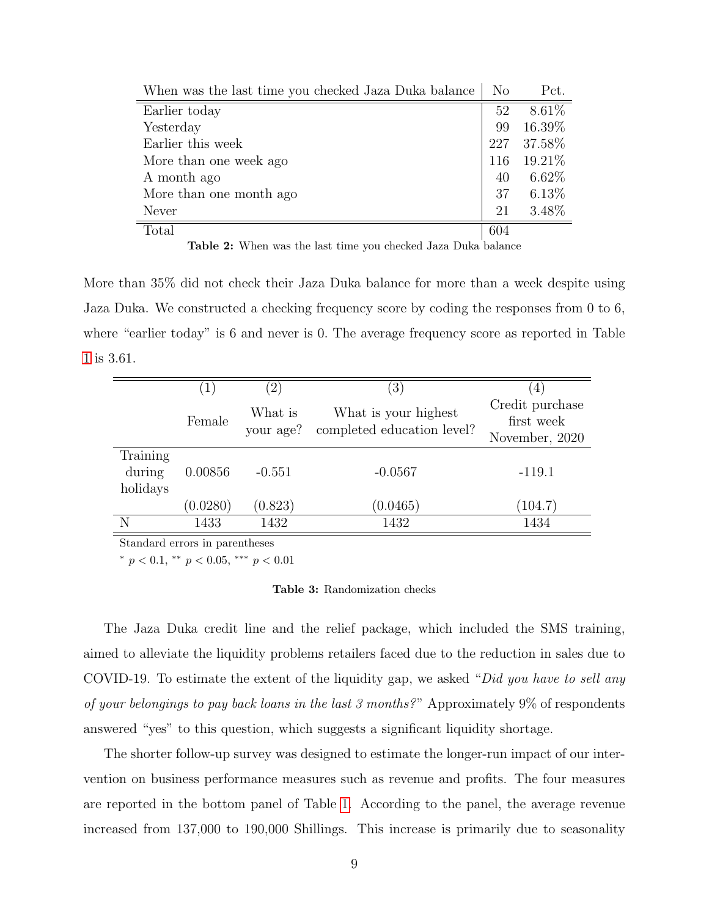| When was the last time you checked Jaza Duka balance | N <sub>o</sub> | Pct.      |
|------------------------------------------------------|----------------|-----------|
| Earlier today                                        | 52             | 8.61%     |
| Yesterday                                            | 99             | 16.39%    |
| Earlier this week                                    | 227            | 37.58%    |
| More than one week ago                               | 116            | $19.21\%$ |
| A month ago                                          | 40             | $6.62\%$  |
| More than one month ago                              | 37             | $6.13\%$  |
| Never                                                | 21             | 3.48%     |
| Total                                                | 604            |           |

<span id="page-8-0"></span>Table 2: When was the last time you checked Jaza Duka balance

More than 35% did not check their Jaza Duka balance for more than a week despite using Jaza Duka. We constructed a checking frequency score by coding the responses from 0 to 6, where "earlier today" is 6 and never is 0. The average frequency score as reported in Table [1](#page-7-0) is 3.61.

|                                | $\left(1\right)$ | $\overline{2}$       | $\left(3\right)$                                   | $\overline{4}$                                  |
|--------------------------------|------------------|----------------------|----------------------------------------------------|-------------------------------------------------|
|                                | Female           | What is<br>your age? | What is your highest<br>completed education level? | Credit purchase<br>first week<br>November, 2020 |
| Training<br>during<br>holidays | 0.00856          | $-0.551$             | $-0.0567$                                          | $-119.1$                                        |
|                                | (0.0280)         | (0.823)              | (0.0465)                                           | (104.7)                                         |
| N                              | 1433             | 1432                 | 1432                                               | 1434                                            |

Standard errors in parentheses

\*  $p < 0.1$ , \*\*  $p < 0.05$ , \*\*\*  $p < 0.01$ 

#### <span id="page-8-1"></span>Table 3: Randomization checks

The Jaza Duka credit line and the relief package, which included the SMS training, aimed to alleviate the liquidity problems retailers faced due to the reduction in sales due to COVID-19. To estimate the extent of the liquidity gap, we asked "Did you have to sell any of your belongings to pay back loans in the last 3 months?" Approximately 9% of respondents answered "yes" to this question, which suggests a significant liquidity shortage.

The shorter follow-up survey was designed to estimate the longer-run impact of our intervention on business performance measures such as revenue and profits. The four measures are reported in the bottom panel of Table [1.](#page-7-0) According to the panel, the average revenue increased from 137,000 to 190,000 Shillings. This increase is primarily due to seasonality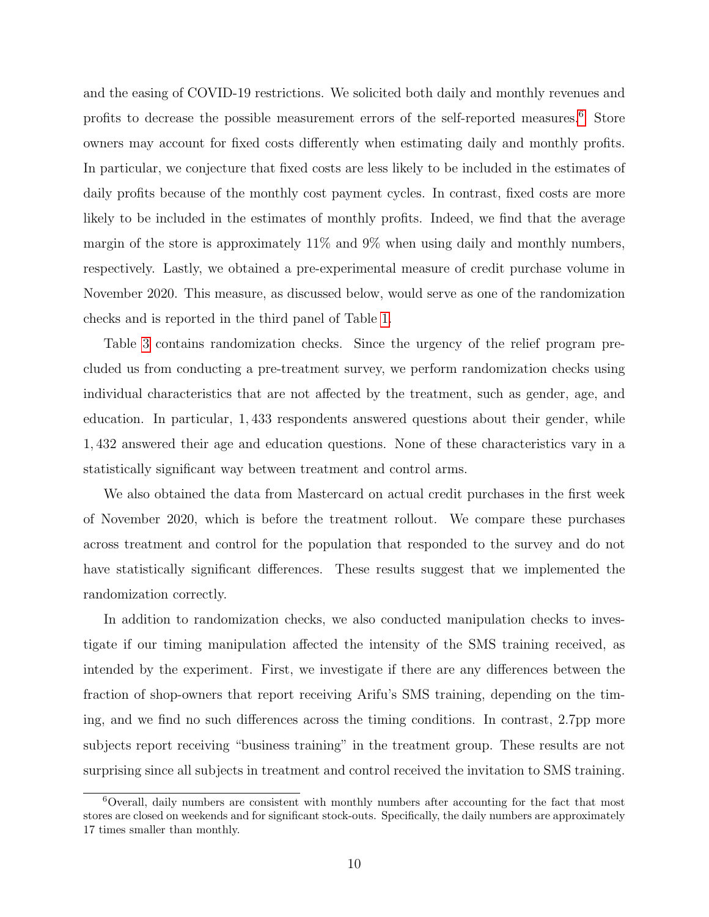and the easing of COVID-19 restrictions. We solicited both daily and monthly revenues and profits to decrease the possible measurement errors of the self-reported measures.<sup>[6](#page-9-0)</sup> Store owners may account for fixed costs differently when estimating daily and monthly profits. In particular, we conjecture that fixed costs are less likely to be included in the estimates of daily profits because of the monthly cost payment cycles. In contrast, fixed costs are more likely to be included in the estimates of monthly profits. Indeed, we find that the average margin of the store is approximately  $11\%$  and  $9\%$  when using daily and monthly numbers, respectively. Lastly, we obtained a pre-experimental measure of credit purchase volume in November 2020. This measure, as discussed below, would serve as one of the randomization checks and is reported in the third panel of Table [1.](#page-7-0)

Table [3](#page-8-1) contains randomization checks. Since the urgency of the relief program precluded us from conducting a pre-treatment survey, we perform randomization checks using individual characteristics that are not affected by the treatment, such as gender, age, and education. In particular, 1, 433 respondents answered questions about their gender, while 1, 432 answered their age and education questions. None of these characteristics vary in a statistically significant way between treatment and control arms.

We also obtained the data from Mastercard on actual credit purchases in the first week of November 2020, which is before the treatment rollout. We compare these purchases across treatment and control for the population that responded to the survey and do not have statistically significant differences. These results suggest that we implemented the randomization correctly.

In addition to randomization checks, we also conducted manipulation checks to investigate if our timing manipulation affected the intensity of the SMS training received, as intended by the experiment. First, we investigate if there are any differences between the fraction of shop-owners that report receiving Arifu's SMS training, depending on the timing, and we find no such differences across the timing conditions. In contrast, 2.7pp more subjects report receiving "business training" in the treatment group. These results are not surprising since all subjects in treatment and control received the invitation to SMS training.

<span id="page-9-0"></span><sup>6</sup>Overall, daily numbers are consistent with monthly numbers after accounting for the fact that most stores are closed on weekends and for significant stock-outs. Specifically, the daily numbers are approximately 17 times smaller than monthly.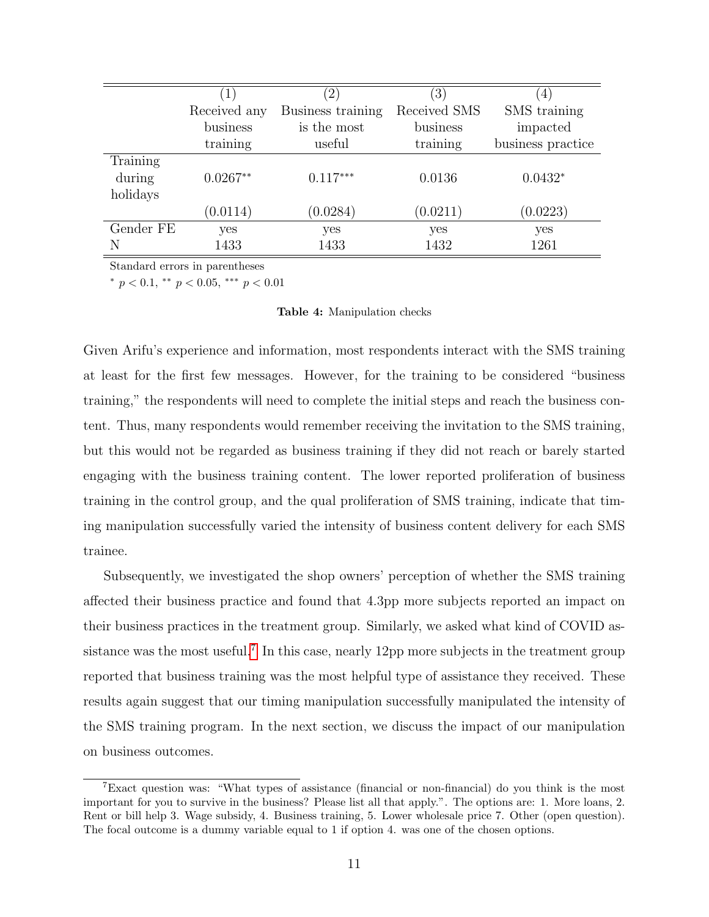|           |              | $^{(2)}$          | (3)          | $\left( 4\right)$ |
|-----------|--------------|-------------------|--------------|-------------------|
|           | Received any | Business training | Received SMS | SMS training      |
|           | business     | is the most       | business     | impacted          |
|           | training     | useful            | training     | business practice |
| Training  |              |                   |              |                   |
| during    | $0.0267**$   | $0.117***$        | 0.0136       | $0.0432*$         |
| holidays  |              |                   |              |                   |
|           | (0.0114)     | (0.0284)          | (0.0211)     | (0.0223)          |
| Gender FE | yes          | yes               | yes          | yes               |
| N         | 1433         | 1433              | 1432         | 1261              |

Standard errors in parentheses

\*  $p < 0.1$ , \*\*  $p < 0.05$ , \*\*\*  $p < 0.01$ 

#### Table 4: Manipulation checks

Given Arifu's experience and information, most respondents interact with the SMS training at least for the first few messages. However, for the training to be considered "business training," the respondents will need to complete the initial steps and reach the business content. Thus, many respondents would remember receiving the invitation to the SMS training, but this would not be regarded as business training if they did not reach or barely started engaging with the business training content. The lower reported proliferation of business training in the control group, and the qual proliferation of SMS training, indicate that timing manipulation successfully varied the intensity of business content delivery for each SMS trainee.

Subsequently, we investigated the shop owners' perception of whether the SMS training affected their business practice and found that 4.3pp more subjects reported an impact on their business practices in the treatment group. Similarly, we asked what kind of COVID as-sistance was the most useful.<sup>[7](#page-10-0)</sup> In this case, nearly 12pp more subjects in the treatment group reported that business training was the most helpful type of assistance they received. These results again suggest that our timing manipulation successfully manipulated the intensity of the SMS training program. In the next section, we discuss the impact of our manipulation on business outcomes.

<span id="page-10-0"></span><sup>7</sup>Exact question was: "What types of assistance (financial or non-financial) do you think is the most important for you to survive in the business? Please list all that apply.". The options are: 1. More loans, 2. Rent or bill help 3. Wage subsidy, 4. Business training, 5. Lower wholesale price 7. Other (open question). The focal outcome is a dummy variable equal to 1 if option 4. was one of the chosen options.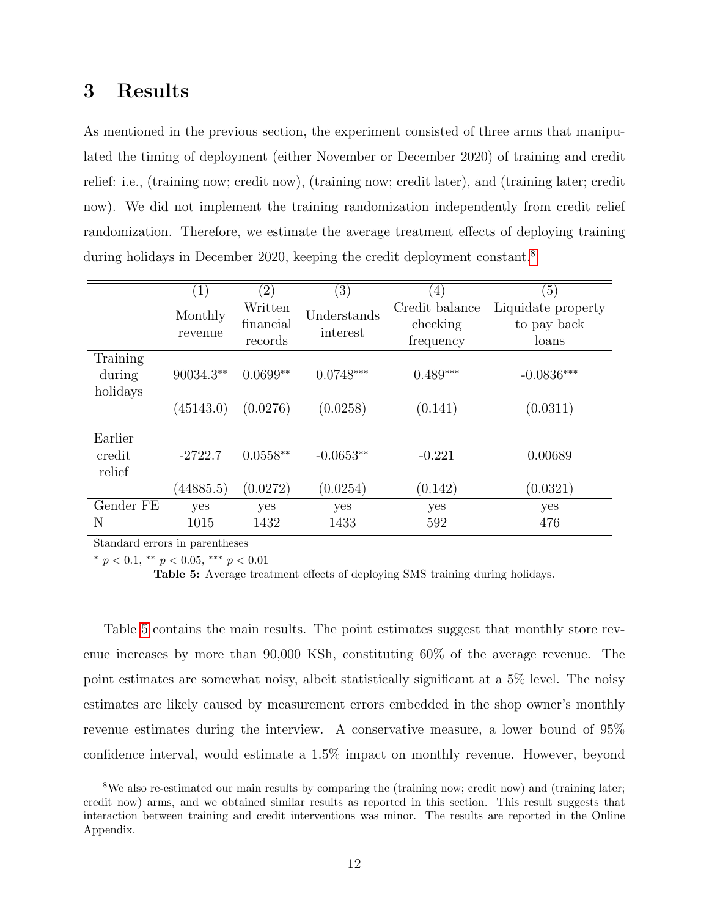### 3 Results

As mentioned in the previous section, the experiment consisted of three arms that manipulated the timing of deployment (either November or December 2020) of training and credit relief: i.e., (training now; credit now), (training now; credit later), and (training later; credit now). We did not implement the training randomization independently from credit relief randomization. Therefore, we estimate the average treatment effects of deploying training during holidays in December 2020, keeping the credit deployment constant.<sup>[8](#page-11-0)</sup>

|                             | (1)                | $\left( 2\right)$               | (3)                     | $\left(4\right)$                        | (5)                                        |
|-----------------------------|--------------------|---------------------------------|-------------------------|-----------------------------------------|--------------------------------------------|
|                             | Monthly<br>revenue | Written<br>financial<br>records | Understands<br>interest | Credit balance<br>checking<br>frequency | Liquidate property<br>to pay back<br>loans |
| Training                    |                    |                                 |                         |                                         |                                            |
| during                      | $90034.3**$        | $0.0699**$                      | $0.0748***$             | $0.489***$                              | $-0.0836***$                               |
| holidays                    | (45143.0)          | (0.0276)                        | (0.0258)                | (0.141)                                 | (0.0311)                                   |
| Earlier<br>credit<br>relief | $-2722.7$          | $0.0558**$                      | $-0.0653**$             | $-0.221$                                | 0.00689                                    |
|                             | (44885.5)          | (0.0272)                        | (0.0254)                | (0.142)                                 | (0.0321)                                   |
| Gender FE                   | yes                | yes                             | yes                     | yes                                     | yes                                        |
| N                           | 1015               | 1432                            | 1433                    | 592                                     | 476                                        |

Standard errors in parentheses

\*  $p < 0.1$ , \*\*  $p < 0.05$ , \*\*\*  $p < 0.01$ 

<span id="page-11-1"></span>Table 5: Average treatment effects of deploying SMS training during holidays.

Table [5](#page-11-1) contains the main results. The point estimates suggest that monthly store revenue increases by more than 90,000 KSh, constituting 60% of the average revenue. The point estimates are somewhat noisy, albeit statistically significant at a 5% level. The noisy estimates are likely caused by measurement errors embedded in the shop owner's monthly revenue estimates during the interview. A conservative measure, a lower bound of 95% confidence interval, would estimate a 1.5% impact on monthly revenue. However, beyond

<span id="page-11-0"></span><sup>8</sup>We also re-estimated our main results by comparing the (training now; credit now) and (training later; credit now) arms, and we obtained similar results as reported in this section. This result suggests that interaction between training and credit interventions was minor. The results are reported in the Online Appendix.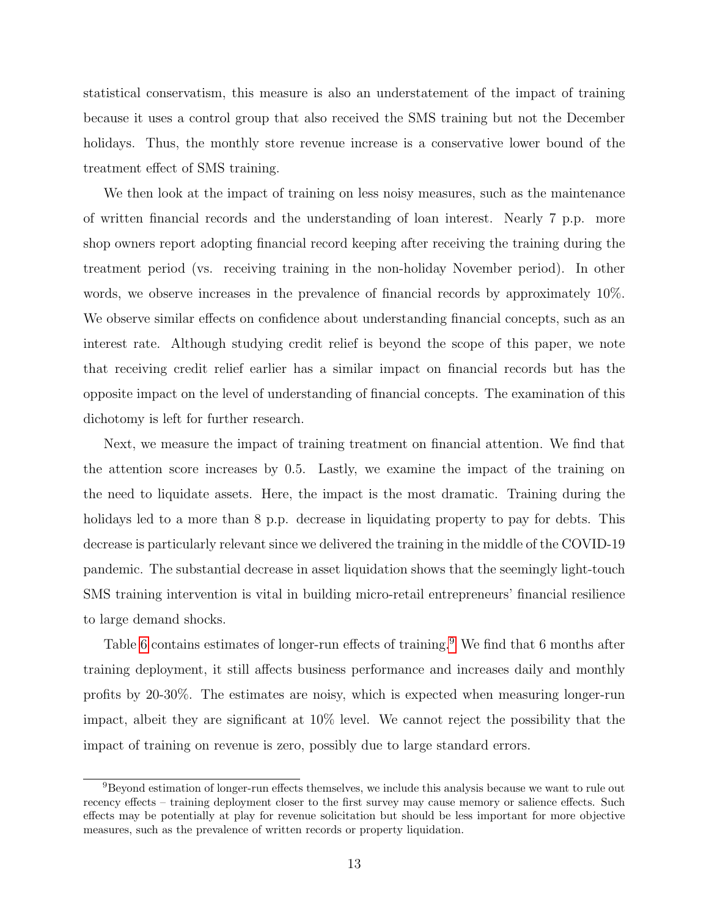statistical conservatism, this measure is also an understatement of the impact of training because it uses a control group that also received the SMS training but not the December holidays. Thus, the monthly store revenue increase is a conservative lower bound of the treatment effect of SMS training.

We then look at the impact of training on less noisy measures, such as the maintenance of written financial records and the understanding of loan interest. Nearly 7 p.p. more shop owners report adopting financial record keeping after receiving the training during the treatment period (vs. receiving training in the non-holiday November period). In other words, we observe increases in the prevalence of financial records by approximately 10%. We observe similar effects on confidence about understanding financial concepts, such as an interest rate. Although studying credit relief is beyond the scope of this paper, we note that receiving credit relief earlier has a similar impact on financial records but has the opposite impact on the level of understanding of financial concepts. The examination of this dichotomy is left for further research.

Next, we measure the impact of training treatment on financial attention. We find that the attention score increases by 0.5. Lastly, we examine the impact of the training on the need to liquidate assets. Here, the impact is the most dramatic. Training during the holidays led to a more than 8 p.p. decrease in liquidating property to pay for debts. This decrease is particularly relevant since we delivered the training in the middle of the COVID-19 pandemic. The substantial decrease in asset liquidation shows that the seemingly light-touch SMS training intervention is vital in building micro-retail entrepreneurs' financial resilience to large demand shocks.

Table [6](#page-13-2) contains estimates of longer-run effects of training.<sup>[9](#page-12-0)</sup> We find that 6 months after training deployment, it still affects business performance and increases daily and monthly profits by 20-30%. The estimates are noisy, which is expected when measuring longer-run impact, albeit they are significant at 10% level. We cannot reject the possibility that the impact of training on revenue is zero, possibly due to large standard errors.

<span id="page-12-0"></span><sup>9</sup>Beyond estimation of longer-run effects themselves, we include this analysis because we want to rule out recency effects – training deployment closer to the first survey may cause memory or salience effects. Such effects may be potentially at play for revenue solicitation but should be less important for more objective measures, such as the prevalence of written records or property liquidation.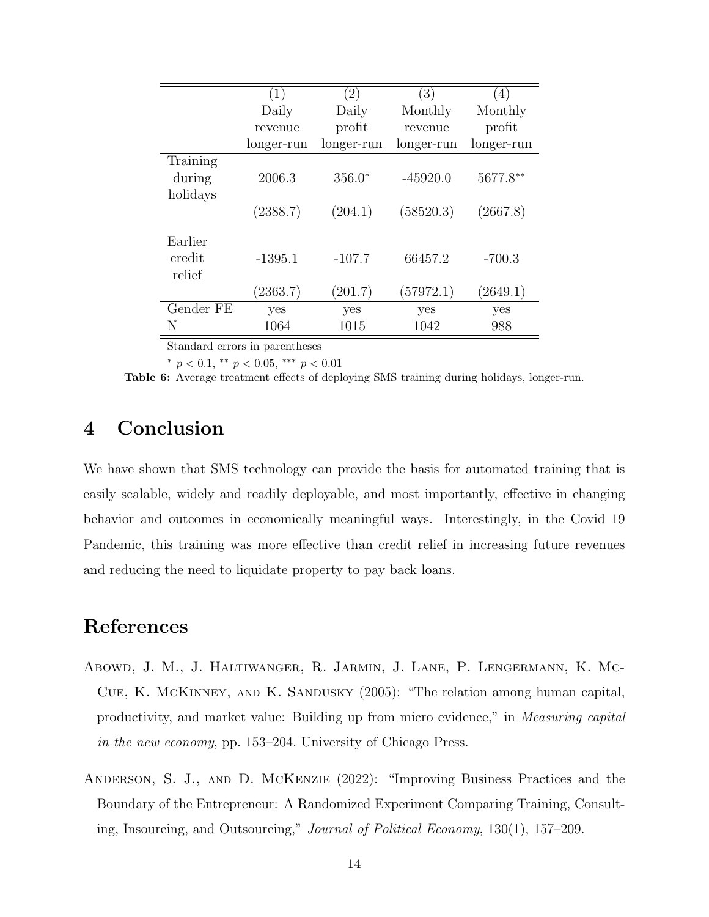|                                | (1)        | (2)        | (3)        | (4)        |
|--------------------------------|------------|------------|------------|------------|
|                                | Daily      | Daily      | Monthly    | Monthly    |
|                                | revenue    | profit     | revenue    | profit     |
|                                | longer-run | longer-run | longer-run | longer-run |
| Training<br>during<br>holidays | 2006.3     | $356.0*$   | $-45920.0$ | 5677.8**   |
|                                | (2388.7)   | (204.1)    | (58520.3)  | (2667.8)   |
| Earlier<br>credit<br>relief    | $-1395.1$  | $-107.7$   | 66457.2    | $-700.3$   |
|                                | (2363.7)   | (201.7)    | (57972.1)  | (2649.1)   |
| Gender FE                      | yes        | yes        | yes        | yes        |
| N                              | 1064       | 1015       | 1042       | 988        |

Standard errors in parentheses

<span id="page-13-2"></span>\*  $p < 0.1$ , \*\*  $p < 0.05$ , \*\*\*  $p < 0.01$ 

Table 6: Average treatment effects of deploying SMS training during holidays, longer-run.

### 4 Conclusion

We have shown that SMS technology can provide the basis for automated training that is easily scalable, widely and readily deployable, and most importantly, effective in changing behavior and outcomes in economically meaningful ways. Interestingly, in the Covid 19 Pandemic, this training was more effective than credit relief in increasing future revenues and reducing the need to liquidate property to pay back loans.

### References

- <span id="page-13-0"></span>Abowd, J. M., J. Haltiwanger, R. Jarmin, J. Lane, P. Lengermann, K. Mc-Cue, K. McKinney, and K. Sandusky (2005): "The relation among human capital, productivity, and market value: Building up from micro evidence," in Measuring capital in the new economy, pp. 153–204. University of Chicago Press.
- <span id="page-13-1"></span>Anderson, S. J., and D. McKenzie (2022): "Improving Business Practices and the Boundary of the Entrepreneur: A Randomized Experiment Comparing Training, Consulting, Insourcing, and Outsourcing," Journal of Political Economy, 130(1), 157–209.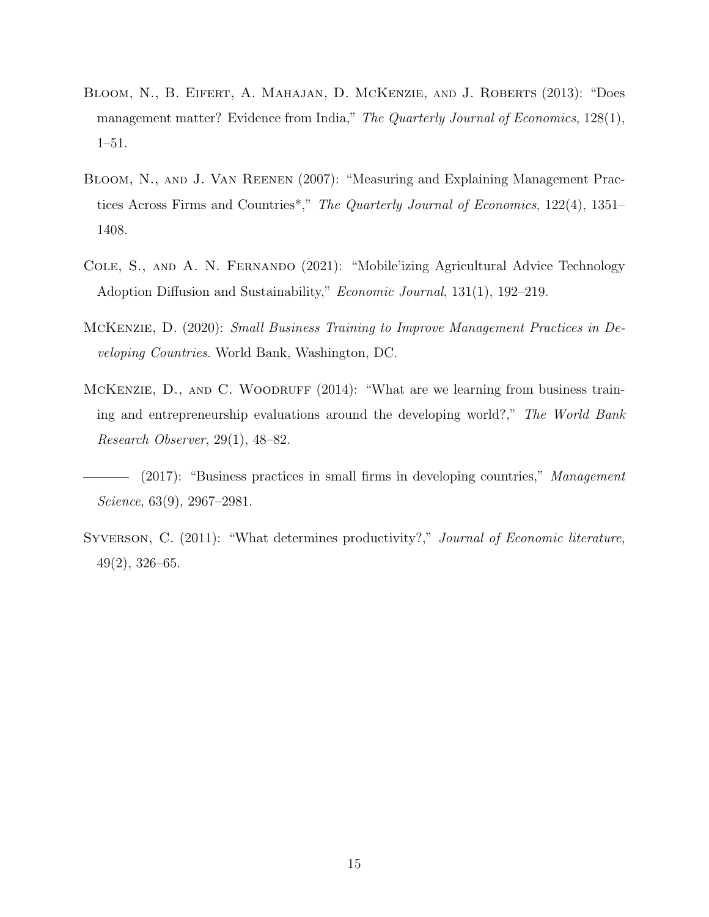- <span id="page-14-6"></span>Bloom, N., B. Eifert, A. Mahajan, D. McKenzie, and J. Roberts (2013): "Does management matter? Evidence from India," The Quarterly Journal of Economics, 128(1), 1–51.
- <span id="page-14-1"></span>Bloom, N., and J. Van Reenen (2007): "Measuring and Explaining Management Practices Across Firms and Countries\*," The Quarterly Journal of Economics, 122(4), 1351– 1408.
- <span id="page-14-5"></span>Cole, S., and A. N. Fernando (2021): "Mobile'izing Agricultural Advice Technology Adoption Diffusion and Sustainability," Economic Journal, 131(1), 192–219.
- <span id="page-14-3"></span>McKenzie, D. (2020): Small Business Training to Improve Management Practices in Developing Countries. World Bank, Washington, DC.
- <span id="page-14-4"></span>MCKENZIE, D., AND C. WOODRUFF (2014): "What are we learning from business training and entrepreneurship evaluations around the developing world?," The World Bank Research Observer, 29(1), 48–82.
- <span id="page-14-2"></span>- (2017): "Business practices in small firms in developing countries," Management Science, 63(9), 2967–2981.
- <span id="page-14-0"></span>SYVERSON, C. (2011): "What determines productivity?," Journal of Economic literature, 49(2), 326–65.